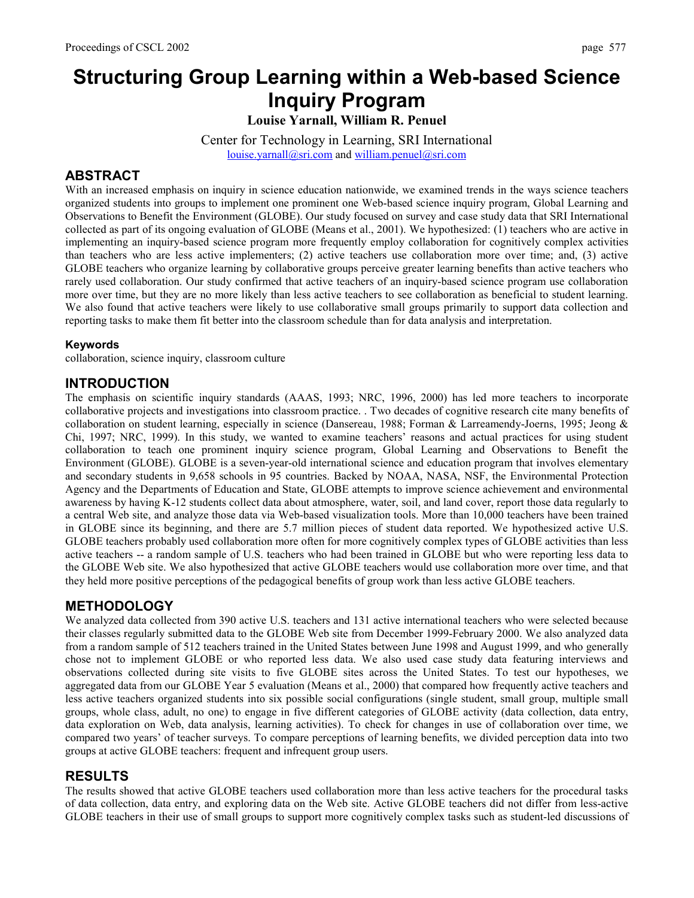# **Structuring Group Learning within a Web-based Science Inquiry Program**

**Louise Yarnall, William R. Penuel** 

Center for Technology in Learning, SRI International louise.yarnall@sri.com and william.penuel@sri.com

## **ABSTRACT**

With an increased emphasis on inquiry in science education nationwide, we examined trends in the ways science teachers organized students into groups to implement one prominent one Web-based science inquiry program, Global Learning and Observations to Benefit the Environment (GLOBE). Our study focused on survey and case study data that SRI International collected as part of its ongoing evaluation of GLOBE (Means et al., 2001). We hypothesized: (1) teachers who are active in implementing an inquiry-based science program more frequently employ collaboration for cognitively complex activities than teachers who are less active implementers; (2) active teachers use collaboration more over time; and, (3) active GLOBE teachers who organize learning by collaborative groups perceive greater learning benefits than active teachers who rarely used collaboration. Our study confirmed that active teachers of an inquiry-based science program use collaboration more over time, but they are no more likely than less active teachers to see collaboration as beneficial to student learning. We also found that active teachers were likely to use collaborative small groups primarily to support data collection and reporting tasks to make them fit better into the classroom schedule than for data analysis and interpretation.

#### **Keywords**

collaboration, science inquiry, classroom culture

# **INTRODUCTION**

The emphasis on scientific inquiry standards (AAAS, 1993; NRC, 1996, 2000) has led more teachers to incorporate collaborative projects and investigations into classroom practice. . Two decades of cognitive research cite many benefits of collaboration on student learning, especially in science (Dansereau, 1988; Forman & Larreamendy-Joerns, 1995; Jeong & Chi, 1997; NRC, 1999). In this study, we wanted to examine teachers' reasons and actual practices for using student collaboration to teach one prominent inquiry science program, Global Learning and Observations to Benefit the Environment (GLOBE). GLOBE is a seven-year-old international science and education program that involves elementary and secondary students in 9,658 schools in 95 countries. Backed by NOAA, NASA, NSF, the Environmental Protection Agency and the Departments of Education and State, GLOBE attempts to improve science achievement and environmental awareness by having K-12 students collect data about atmosphere, water, soil, and land cover, report those data regularly to a central Web site, and analyze those data via Web-based visualization tools. More than 10,000 teachers have been trained in GLOBE since its beginning, and there are 5.7 million pieces of student data reported. We hypothesized active U.S. GLOBE teachers probably used collaboration more often for more cognitively complex types of GLOBE activities than less active teachers -- a random sample of U.S. teachers who had been trained in GLOBE but who were reporting less data to the GLOBE Web site. We also hypothesized that active GLOBE teachers would use collaboration more over time, and that they held more positive perceptions of the pedagogical benefits of group work than less active GLOBE teachers.

# **METHODOLOGY**

We analyzed data collected from 390 active U.S. teachers and 131 active international teachers who were selected because their classes regularly submitted data to the GLOBE Web site from December 1999-February 2000. We also analyzed data from a random sample of 512 teachers trained in the United States between June 1998 and August 1999, and who generally chose not to implement GLOBE or who reported less data. We also used case study data featuring interviews and observations collected during site visits to five GLOBE sites across the United States. To test our hypotheses, we aggregated data from our GLOBE Year 5 evaluation (Means et al., 2000) that compared how frequently active teachers and less active teachers organized students into six possible social configurations (single student, small group, multiple small groups, whole class, adult, no one) to engage in five different categories of GLOBE activity (data collection, data entry, data exploration on Web, data analysis, learning activities). To check for changes in use of collaboration over time, we compared two years' of teacher surveys. To compare perceptions of learning benefits, we divided perception data into two groups at active GLOBE teachers: frequent and infrequent group users.

### **RESULTS**

The results showed that active GLOBE teachers used collaboration more than less active teachers for the procedural tasks of data collection, data entry, and exploring data on the Web site. Active GLOBE teachers did not differ from less-active GLOBE teachers in their use of small groups to support more cognitively complex tasks such as student-led discussions of